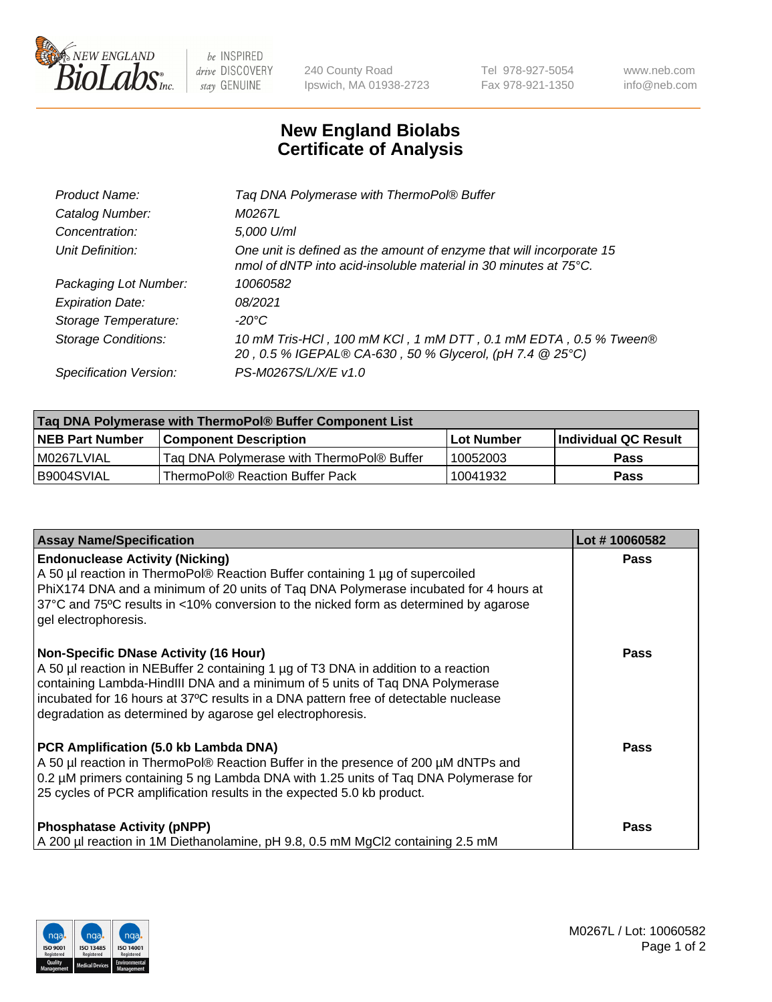

be INSPIRED drive DISCOVERY stay GENUINE

240 County Road Ipswich, MA 01938-2723 Tel 978-927-5054 Fax 978-921-1350 www.neb.com info@neb.com

## **New England Biolabs Certificate of Analysis**

| Tag DNA Polymerase with ThermoPol® Buffer                                                                                                |
|------------------------------------------------------------------------------------------------------------------------------------------|
| M0267L                                                                                                                                   |
| 5,000 U/ml                                                                                                                               |
| One unit is defined as the amount of enzyme that will incorporate 15<br>nmol of dNTP into acid-insoluble material in 30 minutes at 75°C. |
| 10060582                                                                                                                                 |
| 08/2021                                                                                                                                  |
| $-20^{\circ}$ C                                                                                                                          |
| 10 mM Tris-HCl, 100 mM KCl, 1 mM DTT, 0.1 mM EDTA, 0.5 % Tween®<br>20, 0.5 % IGEPAL® CA-630, 50 % Glycerol, (pH 7.4 @ 25°C)              |
| PS-M0267S/L/X/E v1.0                                                                                                                     |
|                                                                                                                                          |

| Tag DNA Polymerase with ThermoPol® Buffer Component List |                                           |                   |                      |  |  |
|----------------------------------------------------------|-------------------------------------------|-------------------|----------------------|--|--|
| <b>NEB Part Number</b>                                   | <b>Component Description</b>              | <b>Lot Number</b> | Individual QC Result |  |  |
| I M0267LVIAL                                             | Tag DNA Polymerase with ThermoPol® Buffer | 10052003          | Pass                 |  |  |
| B9004SVIAL                                               | ThermoPol® Reaction Buffer Pack           | 10041932          | Pass                 |  |  |

| <b>Assay Name/Specification</b>                                                                                                                                                                                                                                                                                                                                        | Lot #10060582 |
|------------------------------------------------------------------------------------------------------------------------------------------------------------------------------------------------------------------------------------------------------------------------------------------------------------------------------------------------------------------------|---------------|
| <b>Endonuclease Activity (Nicking)</b><br>A 50 µl reaction in ThermoPol® Reaction Buffer containing 1 µg of supercoiled<br>PhiX174 DNA and a minimum of 20 units of Taq DNA Polymerase incubated for 4 hours at<br>37°C and 75°C results in <10% conversion to the nicked form as determined by agarose<br>gel electrophoresis.                                        | <b>Pass</b>   |
| <b>Non-Specific DNase Activity (16 Hour)</b><br>A 50 µl reaction in NEBuffer 2 containing 1 µg of T3 DNA in addition to a reaction<br>containing Lambda-HindIII DNA and a minimum of 5 units of Taq DNA Polymerase<br>incubated for 16 hours at 37°C results in a DNA pattern free of detectable nuclease<br>degradation as determined by agarose gel electrophoresis. | <b>Pass</b>   |
| PCR Amplification (5.0 kb Lambda DNA)<br>A 50 µl reaction in ThermoPol® Reaction Buffer in the presence of 200 µM dNTPs and<br>0.2 µM primers containing 5 ng Lambda DNA with 1.25 units of Taq DNA Polymerase for<br>25 cycles of PCR amplification results in the expected 5.0 kb product.                                                                           | Pass          |
| <b>Phosphatase Activity (pNPP)</b><br>A 200 µl reaction in 1M Diethanolamine, pH 9.8, 0.5 mM MgCl2 containing 2.5 mM                                                                                                                                                                                                                                                   | <b>Pass</b>   |